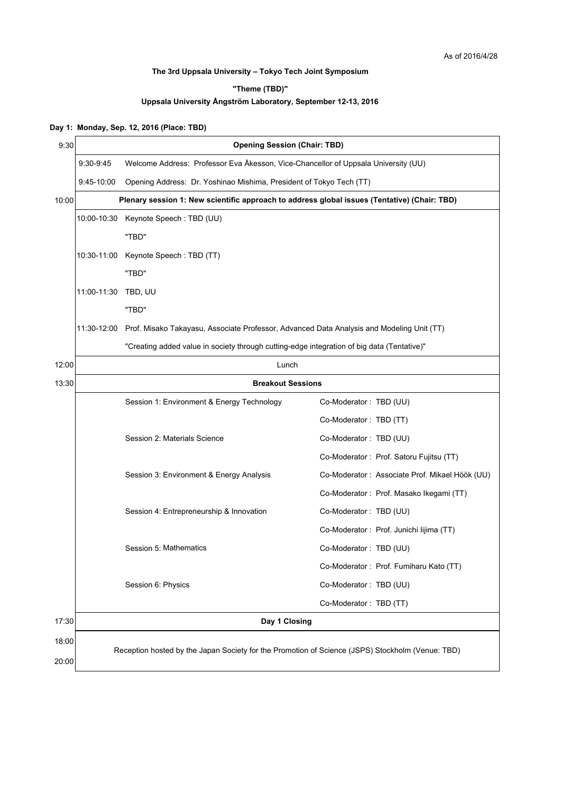## **The 3rd Uppsala University – Tokyo Tech Joint Symposium**

**"Theme (TBD)"**

## **Uppsala University Ångström Laboratory, September 12-13, 2016**

## **Day 1: Monday, Sep. 12, 2016 (Place: TBD)**

| 9:30  | <b>Opening Session (Chair: TBD)</b>                                                              |                                                                                                       |                                                |  |
|-------|--------------------------------------------------------------------------------------------------|-------------------------------------------------------------------------------------------------------|------------------------------------------------|--|
|       | $9:30-9:45$                                                                                      | Welcome Address: Professor Eva Åkesson, Vice-Chancellor of Uppsala University (UU)                    |                                                |  |
|       | 9:45-10:00                                                                                       | Opening Address: Dr. Yoshinao Mishima, President of Tokyo Tech (TT)                                   |                                                |  |
| 10:00 |                                                                                                  | Plenary session 1: New scientific approach to address global issues (Tentative) (Chair: TBD)          |                                                |  |
|       |                                                                                                  | 10:00-10:30 Keynote Speech: TBD (UU)                                                                  |                                                |  |
|       |                                                                                                  | "TBD"                                                                                                 |                                                |  |
|       | 10:30-11:00                                                                                      | Keynote Speech: TBD (TT)                                                                              |                                                |  |
|       |                                                                                                  | "TBD"                                                                                                 |                                                |  |
|       | 11:00-11:30                                                                                      | TBD, UU                                                                                               |                                                |  |
|       |                                                                                                  | "TBD"                                                                                                 |                                                |  |
|       |                                                                                                  | 11:30-12:00 Prof. Misako Takayasu, Associate Professor, Advanced Data Analysis and Modeling Unit (TT) |                                                |  |
|       | "Creating added value in society through cutting-edge integration of big data (Tentative)"       |                                                                                                       |                                                |  |
| 12:00 |                                                                                                  | Lunch                                                                                                 |                                                |  |
| 13:30 | <b>Breakout Sessions</b>                                                                         |                                                                                                       |                                                |  |
|       |                                                                                                  | Session 1: Environment & Energy Technology                                                            | Co-Moderator: TBD (UU)                         |  |
|       |                                                                                                  |                                                                                                       | Co-Moderator: TBD (TT)                         |  |
|       |                                                                                                  | Session 2: Materials Science                                                                          | Co-Moderator: TBD (UU)                         |  |
|       |                                                                                                  |                                                                                                       | Co-Moderator: Prof. Satoru Fujitsu (TT)        |  |
|       |                                                                                                  | Session 3: Environment & Energy Analysis                                                              | Co-Moderator: Associate Prof. Mikael Höök (UU) |  |
|       |                                                                                                  |                                                                                                       | Co-Moderator: Prof. Masako Ikegami (TT)        |  |
|       |                                                                                                  | Session 4: Entrepreneurship & Innovation                                                              | Co-Moderator: TBD (UU)                         |  |
|       |                                                                                                  |                                                                                                       | Co-Moderator : Prof. Junichi lijima (TT)       |  |
|       |                                                                                                  | Session 5: Mathematics                                                                                | Co-Moderator: TBD (UU)                         |  |
|       |                                                                                                  |                                                                                                       | Co-Moderator: Prof. Fumiharu Kato (TT)         |  |
|       |                                                                                                  | Session 6: Physics                                                                                    | Co-Moderator: TBD (UU)                         |  |
|       |                                                                                                  |                                                                                                       | Co-Moderator: TBD (TT)                         |  |
| 17:30 |                                                                                                  | Day 1 Closing                                                                                         |                                                |  |
| 18:00 |                                                                                                  |                                                                                                       |                                                |  |
| 20:00 | Reception hosted by the Japan Society for the Promotion of Science (JSPS) Stockholm (Venue: TBD) |                                                                                                       |                                                |  |